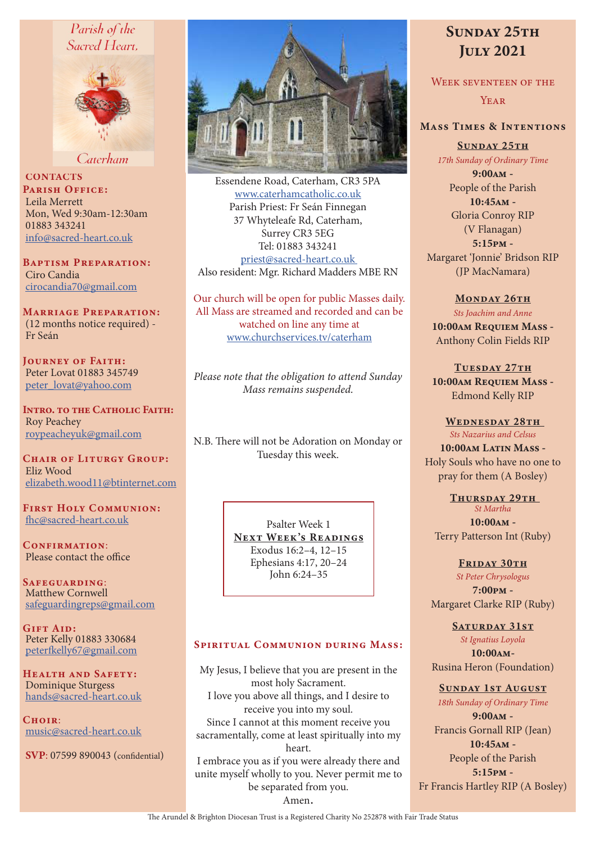# Parish of the Sacred Heart.



Caterham

**CONTACTS** PARISH OFFICE: Leila Merrett Mon, Wed 9:30am-12:30am 01883 343241 info@sacred-heart.co.uk

Baptism Preparation: Ciro Candia cirocandia70@gmail.com

Marriage Preparation: (12 months notice required) - Fr Seán

Journey of Faith: Peter Lovat 01883 345749 peter\_lovat@yahoo.com

Intro. to the Catholic Faith: Roy Peachey roypeacheyuk@gmail.com

CHAIR OF LITURGY GROUP: Eliz Wood elizabeth.wood11@btinternet.com

First Holy Communion: fhc@sacred-heart.co.uk

CONFIRMATION: Please contact the office

Safeguarding: Matthew Cornwell safeguardingreps@gmail.com

GIFT AID: Peter Kelly 01883 330684 peterfkelly67@gmail.com

HEALTH AND SAFETY: Dominique Sturgess hands@sacred-heart.co.uk

 $C$ HOIR: music@sacred-heart.co.uk

SVP: 07599 890043 (confidential)



Essendene Road, Caterham, CR3 5PA www.caterhamcatholic.co.uk Parish Priest: Fr Seán Finnegan 37 Whyteleafe Rd, Caterham, Surrey CR3 5EG Tel: 01883 343241 priest@sacred-heart.co.uk Also resident: Mgr. Richard Madders MBE RN

Our church will be open for public Masses daily. All Mass are streamed and recorded and can be watched on line any time at www.churchservices.tv/caterham

*Please note that the obligation to attend Sunday Mass remains suspended.*

N.B. There will not be Adoration on Monday or Tuesday this week.

> Psalter Week 1 NEXT WEEK'S READINGS Exodus 16:2–4, 12–15 Ephesians 4:17, 20–24 John 6:24–35

#### SPIRITUAL COMMUNION DURING MASS:

My Jesus, I believe that you are present in the most holy Sacrament. I love you above all things, and I desire to receive you into my soul. Since I cannot at this moment receive you sacramentally, come at least spiritually into my heart. I embrace you as if you were already there and unite myself wholly to you. Never permit me to be separated from you. Amen.

# SUNDAY 25TH July 2021

Week seventeen of the **YEAR** 

# Mass Times & Intentions

SUNDAY 25TH

*17th Sunday of Ordinary Time*

9:00am - People of the Parish 10:45am - Gloria Conroy RIP (V Flanagan) 5:15pm - Margaret 'Jonnie' Bridson RIP (JP MacNamara)

MONDAY 26TH *Sts Joachim and Anne* 10:00am Requiem Mass - Anthony Colin Fields RIP

TUESDAY 27TH 10:00am Requiem Mass -Edmond Kelly RIP

#### WEDNESDAY 28TH

*Sts Nazarius and Celsus*  $10:00$ am Latin Mass -Holy Souls who have no one to pray for them (A Bosley)

THURSDAY 29TH *St Martha* 10:00am - Terry Patterson Int (Ruby)

FRIDAY 30TH *St Peter Chrysologus* 7:00pm -

Margaret Clarke RIP (Ruby)

SATURDAY 31ST *St Ignatius Loyola* 10:00am-

Rusina Heron (Foundation)

Sunday 1st August

*18th Sunday of Ordinary Time* 9:00am - Francis Gornall RIP (Jean) 10:45am - People of the Parish 5:15pm - Fr Francis Hartley RIP (A Bosley)

The Arundel & Brighton Diocesan Trust is a Registered Charity No 252878 with Fair Trade Status